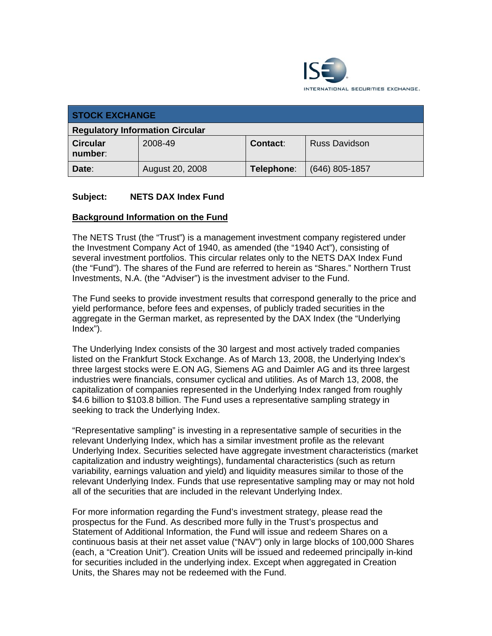

| <b>STOCK EXCHANGE</b>                  |                 |                 |                      |  |
|----------------------------------------|-----------------|-----------------|----------------------|--|
| <b>Regulatory Information Circular</b> |                 |                 |                      |  |
| <b>Circular</b><br>number:             | 2008-49         | <b>Contact:</b> | <b>Russ Davidson</b> |  |
| Date:                                  | August 20, 2008 | Telephone:      | $(646)$ 805-1857     |  |

## **Subject: NETS DAX Index Fund**

### **Background Information on the Fund**

The NETS Trust (the "Trust") is a management investment company registered under the Investment Company Act of 1940, as amended (the "1940 Act"), consisting of several investment portfolios. This circular relates only to the NETS DAX Index Fund (the "Fund"). The shares of the Fund are referred to herein as "Shares." Northern Trust Investments, N.A. (the "Adviser") is the investment adviser to the Fund.

The Fund seeks to provide investment results that correspond generally to the price and yield performance, before fees and expenses, of publicly traded securities in the aggregate in the German market, as represented by the DAX Index (the "Underlying Index").

The Underlying Index consists of the 30 largest and most actively traded companies listed on the Frankfurt Stock Exchange. As of March 13, 2008, the Underlying Index's three largest stocks were E.ON AG, Siemens AG and Daimler AG and its three largest industries were financials, consumer cyclical and utilities. As of March 13, 2008, the capitalization of companies represented in the Underlying Index ranged from roughly \$4.6 billion to \$103.8 billion. The Fund uses a representative sampling strategy in seeking to track the Underlying Index.

"Representative sampling" is investing in a representative sample of securities in the relevant Underlying Index, which has a similar investment profile as the relevant Underlying Index. Securities selected have aggregate investment characteristics (market capitalization and industry weightings), fundamental characteristics (such as return variability, earnings valuation and yield) and liquidity measures similar to those of the relevant Underlying Index. Funds that use representative sampling may or may not hold all of the securities that are included in the relevant Underlying Index.

For more information regarding the Fund's investment strategy, please read the prospectus for the Fund. As described more fully in the Trust's prospectus and Statement of Additional Information, the Fund will issue and redeem Shares on a continuous basis at their net asset value ("NAV") only in large blocks of 100,000 Shares (each, a "Creation Unit"). Creation Units will be issued and redeemed principally in-kind for securities included in the underlying index. Except when aggregated in Creation Units, the Shares may not be redeemed with the Fund.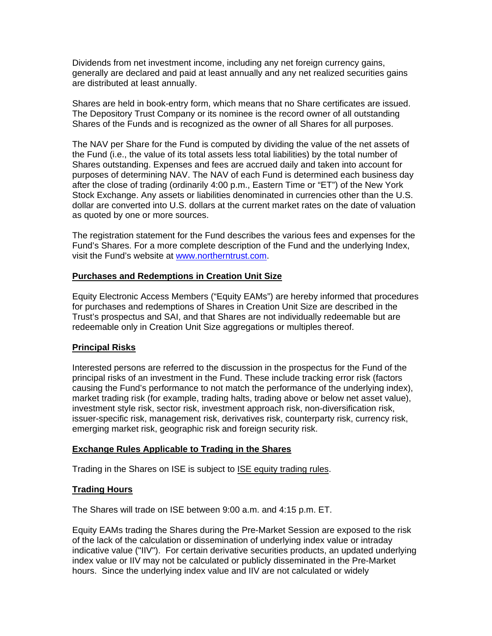Dividends from net investment income, including any net foreign currency gains, generally are declared and paid at least annually and any net realized securities gains are distributed at least annually.

Shares are held in book-entry form, which means that no Share certificates are issued. The Depository Trust Company or its nominee is the record owner of all outstanding Shares of the Funds and is recognized as the owner of all Shares for all purposes.

The NAV per Share for the Fund is computed by dividing the value of the net assets of the Fund (i.e., the value of its total assets less total liabilities) by the total number of Shares outstanding. Expenses and fees are accrued daily and taken into account for purposes of determining NAV. The NAV of each Fund is determined each business day after the close of trading (ordinarily 4:00 p.m., Eastern Time or "ET") of the New York Stock Exchange. Any assets or liabilities denominated in currencies other than the U.S. dollar are converted into U.S. dollars at the current market rates on the date of valuation as quoted by one or more sources.

The registration statement for the Fund describes the various fees and expenses for the Fund's Shares. For a more complete description of the Fund and the underlying Index, visit the Fund's website at www.northerntrust.com.

### **Purchases and Redemptions in Creation Unit Size**

Equity Electronic Access Members ("Equity EAMs") are hereby informed that procedures for purchases and redemptions of Shares in Creation Unit Size are described in the Trust's prospectus and SAI, and that Shares are not individually redeemable but are redeemable only in Creation Unit Size aggregations or multiples thereof.

### **Principal Risks**

Interested persons are referred to the discussion in the prospectus for the Fund of the principal risks of an investment in the Fund. These include tracking error risk (factors causing the Fund's performance to not match the performance of the underlying index), market trading risk (for example, trading halts, trading above or below net asset value), investment style risk, sector risk, investment approach risk, non-diversification risk, issuer-specific risk, management risk, derivatives risk, counterparty risk, currency risk, emerging market risk, geographic risk and foreign security risk.

### **Exchange Rules Applicable to Trading in the Shares**

Trading in the Shares on ISE is subject to ISE equity trading rules.

### **Trading Hours**

The Shares will trade on ISE between 9:00 a.m. and 4:15 p.m. ET.

Equity EAMs trading the Shares during the Pre-Market Session are exposed to the risk of the lack of the calculation or dissemination of underlying index value or intraday indicative value ("IIV"). For certain derivative securities products, an updated underlying index value or IIV may not be calculated or publicly disseminated in the Pre-Market hours. Since the underlying index value and IIV are not calculated or widely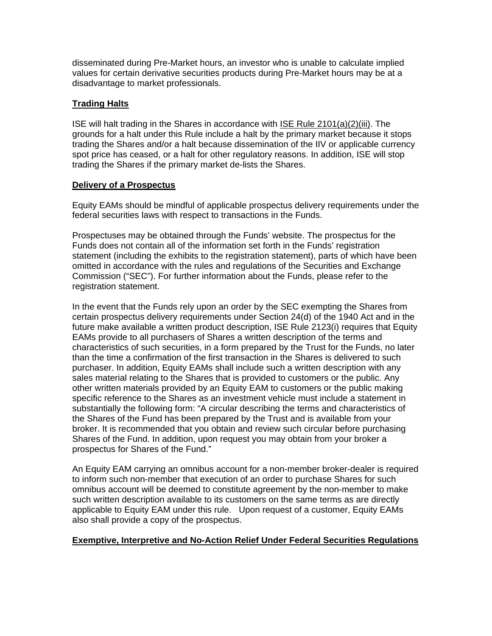disseminated during Pre-Market hours, an investor who is unable to calculate implied values for certain derivative securities products during Pre-Market hours may be at a disadvantage to market professionals.

# **Trading Halts**

ISE will halt trading in the Shares in accordance with ISE Rule 2101(a)(2)(iii). The grounds for a halt under this Rule include a halt by the primary market because it stops trading the Shares and/or a halt because dissemination of the IIV or applicable currency spot price has ceased, or a halt for other regulatory reasons. In addition, ISE will stop trading the Shares if the primary market de-lists the Shares.

## **Delivery of a Prospectus**

Equity EAMs should be mindful of applicable prospectus delivery requirements under the federal securities laws with respect to transactions in the Funds.

Prospectuses may be obtained through the Funds' website. The prospectus for the Funds does not contain all of the information set forth in the Funds' registration statement (including the exhibits to the registration statement), parts of which have been omitted in accordance with the rules and regulations of the Securities and Exchange Commission ("SEC"). For further information about the Funds, please refer to the registration statement.

In the event that the Funds rely upon an order by the SEC exempting the Shares from certain prospectus delivery requirements under Section 24(d) of the 1940 Act and in the future make available a written product description, ISE Rule 2123(i) requires that Equity EAMs provide to all purchasers of Shares a written description of the terms and characteristics of such securities, in a form prepared by the Trust for the Funds, no later than the time a confirmation of the first transaction in the Shares is delivered to such purchaser. In addition, Equity EAMs shall include such a written description with any sales material relating to the Shares that is provided to customers or the public. Any other written materials provided by an Equity EAM to customers or the public making specific reference to the Shares as an investment vehicle must include a statement in substantially the following form: "A circular describing the terms and characteristics of the Shares of the Fund has been prepared by the Trust and is available from your broker. It is recommended that you obtain and review such circular before purchasing Shares of the Fund. In addition, upon request you may obtain from your broker a prospectus for Shares of the Fund."

An Equity EAM carrying an omnibus account for a non-member broker-dealer is required to inform such non-member that execution of an order to purchase Shares for such omnibus account will be deemed to constitute agreement by the non-member to make such written description available to its customers on the same terms as are directly applicable to Equity EAM under this rule. Upon request of a customer, Equity EAMs also shall provide a copy of the prospectus.

# **Exemptive, Interpretive and No-Action Relief Under Federal Securities Regulations**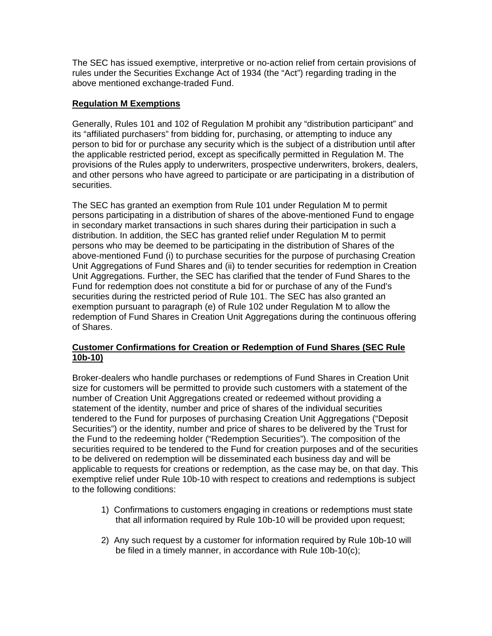The SEC has issued exemptive, interpretive or no-action relief from certain provisions of rules under the Securities Exchange Act of 1934 (the "Act") regarding trading in the above mentioned exchange-traded Fund.

# **Regulation M Exemptions**

Generally, Rules 101 and 102 of Regulation M prohibit any "distribution participant" and its "affiliated purchasers" from bidding for, purchasing, or attempting to induce any person to bid for or purchase any security which is the subject of a distribution until after the applicable restricted period, except as specifically permitted in Regulation M. The provisions of the Rules apply to underwriters, prospective underwriters, brokers, dealers, and other persons who have agreed to participate or are participating in a distribution of securities.

The SEC has granted an exemption from Rule 101 under Regulation M to permit persons participating in a distribution of shares of the above-mentioned Fund to engage in secondary market transactions in such shares during their participation in such a distribution. In addition, the SEC has granted relief under Regulation M to permit persons who may be deemed to be participating in the distribution of Shares of the above-mentioned Fund (i) to purchase securities for the purpose of purchasing Creation Unit Aggregations of Fund Shares and (ii) to tender securities for redemption in Creation Unit Aggregations. Further, the SEC has clarified that the tender of Fund Shares to the Fund for redemption does not constitute a bid for or purchase of any of the Fund's securities during the restricted period of Rule 101. The SEC has also granted an exemption pursuant to paragraph (e) of Rule 102 under Regulation M to allow the redemption of Fund Shares in Creation Unit Aggregations during the continuous offering of Shares.

## **Customer Confirmations for Creation or Redemption of Fund Shares (SEC Rule 10b-10)**

Broker-dealers who handle purchases or redemptions of Fund Shares in Creation Unit size for customers will be permitted to provide such customers with a statement of the number of Creation Unit Aggregations created or redeemed without providing a statement of the identity, number and price of shares of the individual securities tendered to the Fund for purposes of purchasing Creation Unit Aggregations ("Deposit Securities") or the identity, number and price of shares to be delivered by the Trust for the Fund to the redeeming holder ("Redemption Securities"). The composition of the securities required to be tendered to the Fund for creation purposes and of the securities to be delivered on redemption will be disseminated each business day and will be applicable to requests for creations or redemption, as the case may be, on that day. This exemptive relief under Rule 10b-10 with respect to creations and redemptions is subject to the following conditions:

- 1) Confirmations to customers engaging in creations or redemptions must state that all information required by Rule 10b-10 will be provided upon request;
- 2) Any such request by a customer for information required by Rule 10b-10 will be filed in a timely manner, in accordance with Rule 10b-10(c);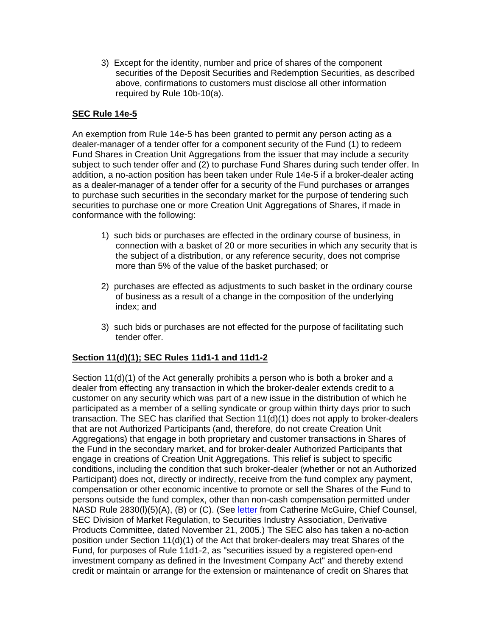3) Except for the identity, number and price of shares of the component securities of the Deposit Securities and Redemption Securities, as described above, confirmations to customers must disclose all other information required by Rule 10b-10(a).

## **SEC Rule 14e-5**

An exemption from Rule 14e-5 has been granted to permit any person acting as a dealer-manager of a tender offer for a component security of the Fund (1) to redeem Fund Shares in Creation Unit Aggregations from the issuer that may include a security subject to such tender offer and (2) to purchase Fund Shares during such tender offer. In addition, a no-action position has been taken under Rule 14e-5 if a broker-dealer acting as a dealer-manager of a tender offer for a security of the Fund purchases or arranges to purchase such securities in the secondary market for the purpose of tendering such securities to purchase one or more Creation Unit Aggregations of Shares, if made in conformance with the following:

- 1) such bids or purchases are effected in the ordinary course of business, in connection with a basket of 20 or more securities in which any security that is the subject of a distribution, or any reference security, does not comprise more than 5% of the value of the basket purchased; or
- 2) purchases are effected as adjustments to such basket in the ordinary course of business as a result of a change in the composition of the underlying index; and
- 3) such bids or purchases are not effected for the purpose of facilitating such tender offer.

## **Section 11(d)(1); SEC Rules 11d1-1 and 11d1-2**

Section 11(d)(1) of the Act generally prohibits a person who is both a broker and a dealer from effecting any transaction in which the broker-dealer extends credit to a customer on any security which was part of a new issue in the distribution of which he participated as a member of a selling syndicate or group within thirty days prior to such transaction. The SEC has clarified that Section 11(d)(1) does not apply to broker-dealers that are not Authorized Participants (and, therefore, do not create Creation Unit Aggregations) that engage in both proprietary and customer transactions in Shares of the Fund in the secondary market, and for broker-dealer Authorized Participants that engage in creations of Creation Unit Aggregations. This relief is subject to specific conditions, including the condition that such broker-dealer (whether or not an Authorized Participant) does not, directly or indirectly, receive from the fund complex any payment, compensation or other economic incentive to promote or sell the Shares of the Fund to persons outside the fund complex, other than non-cash compensation permitted under NASD Rule 2830(l)(5)(A), (B) or (C). (See letter from Catherine McGuire, Chief Counsel, SEC Division of Market Regulation, to Securities Industry Association, Derivative Products Committee, dated November 21, 2005.) The SEC also has taken a no-action position under Section 11(d)(1) of the Act that broker-dealers may treat Shares of the Fund, for purposes of Rule 11d1-2, as "securities issued by a registered open-end investment company as defined in the Investment Company Act" and thereby extend credit or maintain or arrange for the extension or maintenance of credit on Shares that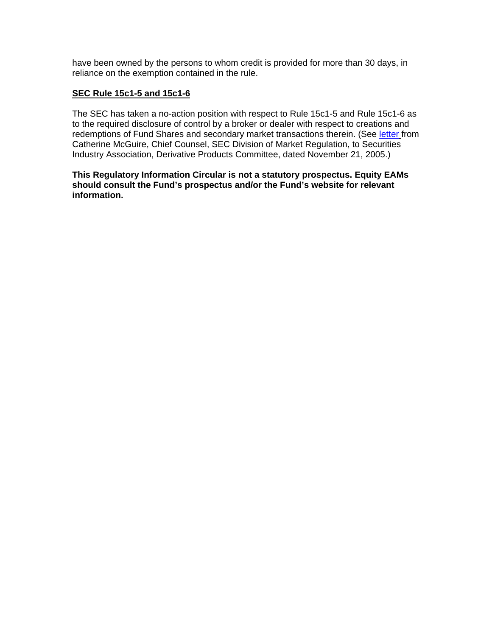have been owned by the persons to whom credit is provided for more than 30 days, in reliance on the exemption contained in the rule.

### **SEC Rule 15c1-5 and 15c1-6**

The SEC has taken a no-action position with respect to Rule 15c1-5 and Rule 15c1-6 as to the required disclosure of control by a broker or dealer with respect to creations and redemptions of Fund Shares and secondary market transactions therein. (See letter from Catherine McGuire, Chief Counsel, SEC Division of Market Regulation, to Securities Industry Association, Derivative Products Committee, dated November 21, 2005.)

### **This Regulatory Information Circular is not a statutory prospectus. Equity EAMs should consult the Fund's prospectus and/or the Fund's website for relevant information.**